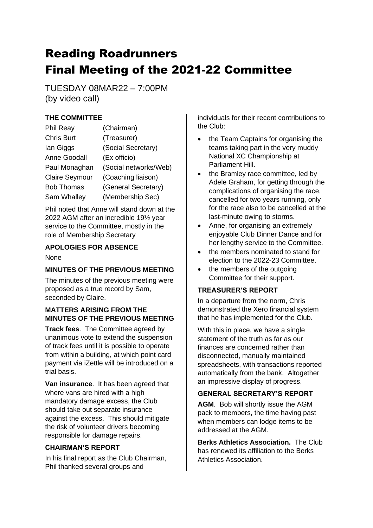# Reading Roadrunners Final Meeting of the 2021-22 Committee

TUESDAY 08MAR22 – 7:00PM (by video call)

# **THE COMMITTEE**

| <b>Phil Reay</b>      | (Chairman)            |
|-----------------------|-----------------------|
| <b>Chris Burt</b>     | (Treasurer)           |
| lan Giggs             | (Social Secretary)    |
| Anne Goodall          | (Ex officio)          |
| Paul Monaghan         | (Social networks/Web) |
| <b>Claire Seymour</b> | (Coaching liaison)    |
| <b>Bob Thomas</b>     | (General Secretary)   |
| Sam Whalley           | (Membership Sec)      |

Phil noted that Anne will stand down at the 2022 AGM after an incredible 19½ year service to the Committee, mostly in the role of Membership Secretary

## **APOLOGIES FOR ABSENCE**

None

# **MINUTES OF THE PREVIOUS MEETING**

The minutes of the previous meeting were proposed as a true record by Sam, seconded by Claire.

## **MATTERS ARISING FROM THE MINUTES OF THE PREVIOUS MEETING**

**Track fees**. The Committee agreed by unanimous vote to extend the suspension of track fees until it is possible to operate from within a building, at which point card payment via iZettle will be introduced on a trial basis.

**Van insurance**. It has been agreed that where vans are hired with a high mandatory damage excess, the Club should take out separate insurance against the excess. This should mitigate the risk of volunteer drivers becoming responsible for damage repairs.

## **CHAIRMAN'S REPORT**

In his final report as the Club Chairman, Phil thanked several groups and

individuals for their recent contributions to the Club:

- the Team Captains for organising the teams taking part in the very muddy National XC Championship at Parliament Hill.
- the Bramley race committee, led by Adele Graham, for getting through the complications of organising the race, cancelled for two years running, only for the race also to be cancelled at the last-minute owing to storms.
- Anne, for organising an extremely enjoyable Club Dinner Dance and for her lengthy service to the Committee.
- the members nominated to stand for election to the 2022-23 Committee.
- the members of the outgoing Committee for their support.

# **TREASURER'S REPORT**

In a departure from the norm, Chris demonstrated the Xero financial system that he has implemented for the Club.

With this in place, we have a single statement of the truth as far as our finances are concerned rather than disconnected, manually maintained spreadsheets, with transactions reported automatically from the bank. Altogether an impressive display of progress.

# **GENERAL SECRETARY'S REPORT**

**AGM**. Bob will shortly issue the AGM pack to members, the time having past when members can lodge items to be addressed at the AGM.

**Berks Athletics Association.** The Club has renewed its affiliation to the Berks Athletics Association.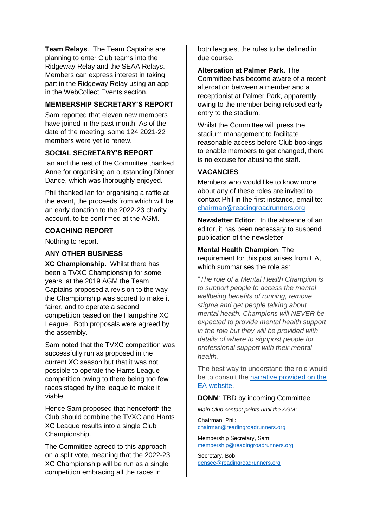**Team Relays**. The Team Captains are planning to enter Club teams into the Ridgeway Relay and the SEAA Relays. Members can express interest in taking part in the Ridgeway Relay using an app in the WebCollect Events section.

#### **MEMBERSHIP SECRETARY'S REPORT**

Sam reported that eleven new members have joined in the past month. As of the date of the meeting, some 124 2021-22 members were yet to renew.

### **SOCIAL SECRETARY'S REPORT**

Ian and the rest of the Committee thanked Anne for organising an outstanding Dinner Dance, which was thoroughly enjoyed.

Phil thanked Ian for organising a raffle at the event, the proceeds from which will be an early donation to the 2022-23 charity account, to be confirmed at the AGM.

#### **COACHING REPORT**

Nothing to report.

#### **ANY OTHER BUSINESS**

**XC Championship.** Whilst there has been a TVXC Championship for some years, at the 2019 AGM the Team Captains proposed a revision to the way the Championship was scored to make it fairer, and to operate a second competition based on the Hampshire XC League. Both proposals were agreed by the assembly.

Sam noted that the TVXC competition was successfully run as proposed in the current XC season but that it was not possible to operate the Hants League competition owing to there being too few races staged by the league to make it viable.

Hence Sam proposed that henceforth the Club should combine the TVXC and Hants XC League results into a single Club Championship.

The Committee agreed to this approach on a split vote, meaning that the 2022-23 XC Championship will be run as a single competition embracing all the races in

both leagues, the rules to be defined in due course.

**Altercation at Palmer Park**. The Committee has become aware of a recent altercation between a member and a receptionist at Palmer Park, apparently owing to the member being refused early entry to the stadium.

Whilst the Committee will press the stadium management to facilitate reasonable access before Club bookings to enable members to get changed, there is no excuse for abusing the staff.

#### **VACANCIES**

Members who would like to know more about any of these roles are invited to contact Phil in the first instance, email to: [chairman@readingroadrunners.org](mailto:chairman@readingroadrunners.org)

**Newsletter Editor**. In the absence of an editor, it has been necessary to suspend publication of the newsletter.

**Mental Health Champion**. The requirement for this post arises from EA, which summarises the role as:

"*The role of a Mental Health Champion is to support people to access the mental wellbeing benefits of running, remove stigma and get people talking about mental health. Champions will NEVER be expected to provide mental health support in the role but they will be provided with details of where to signpost people for professional support with their mental health.*"

The best way to understand the role would be to consult the [narrative provided on the](https://www.englandathletics.org/athletics-and-running/our-programmes/runandtalk/mental-health-champions/)  [EA website.](https://www.englandathletics.org/athletics-and-running/our-programmes/runandtalk/mental-health-champions/)

#### **DONM**: TBD by incoming Committee

*Main Club contact points until the AGM:*

Chairman, Phil: [chairman@readingroadrunners.org](mailto:chairman@readingroadrunners.org)

Membership Secretary, Sam: [membership@readingroadrunners.org](mailto:membership@readingroadrunners.org)

Secretary, Bob: [gensec@readingroadrunners.org](mailto:gensec@readingroadrunners.org)